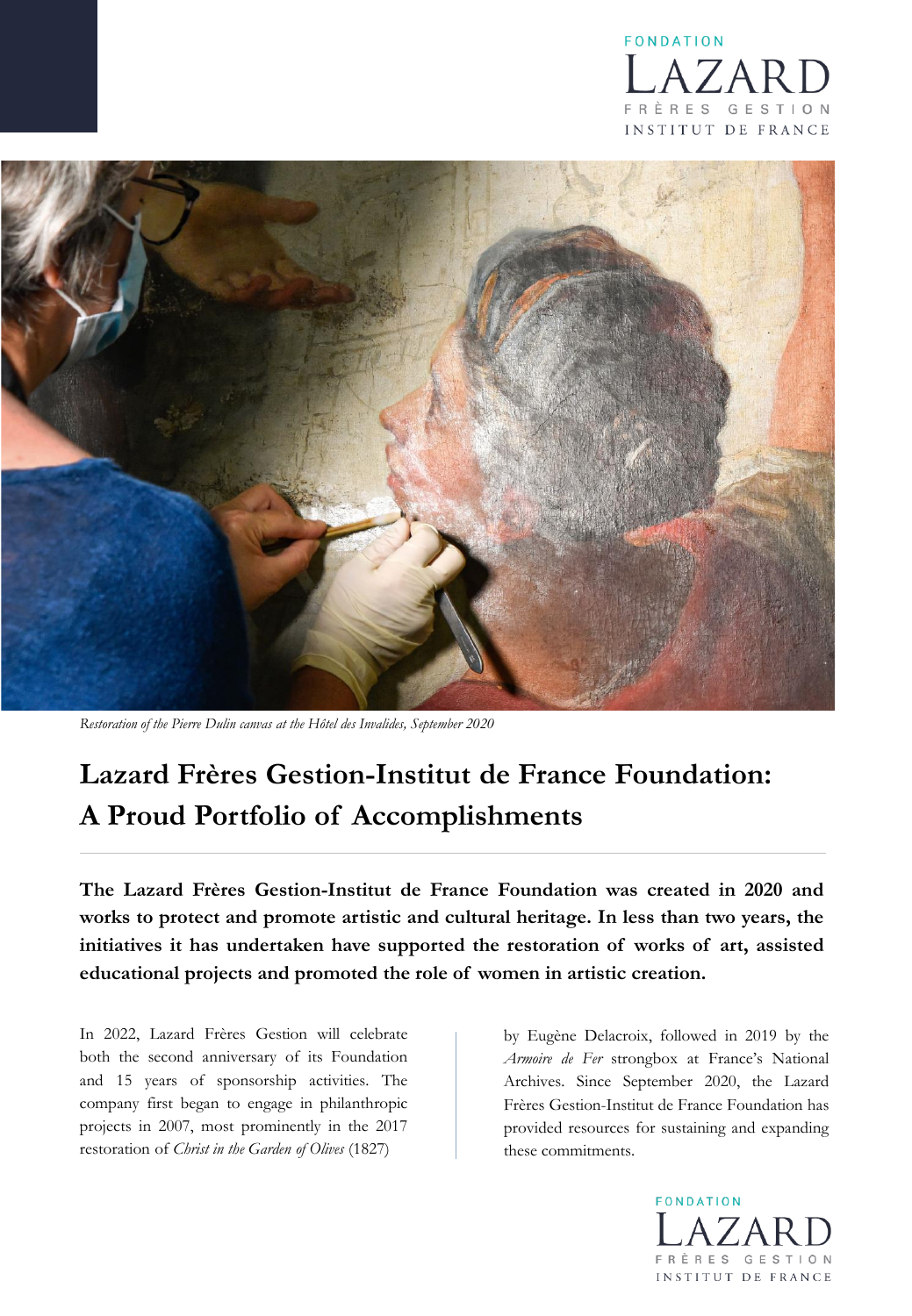



*Restoration of the Pierre Dulin canvas at the Hôtel des Invalides, September 2020*

# **Lazard Frères Gestion-Institut de France Foundation: A Proud Portfolio of Accomplishments**

**The Lazard Frères Gestion-Institut de France Foundation was created in 2020 and works to protect and promote artistic and cultural heritage. In less than two years, the initiatives it has undertaken have supported the restoration of works of art, assisted educational projects and promoted the role of women in artistic creation.**

In 2022, Lazard Frères Gestion will celebrate both the second anniversary of its Foundation and 15 years of sponsorship activities. The company first began to engage in philanthropic projects in 2007, most prominently in the 2017 restoration of *Christ in the Garden of Olives* (1827)

by Eugène Delacroix, followed in 2019 by the *Armoire de Fer* strongbox at France's National Archives. Since September 2020, the Lazard Frères Gestion-Institut de France Foundation has provided resources for sustaining and expanding these commitments.

> FONDATION ÈRES GESTION INSTITUT DE FRANCE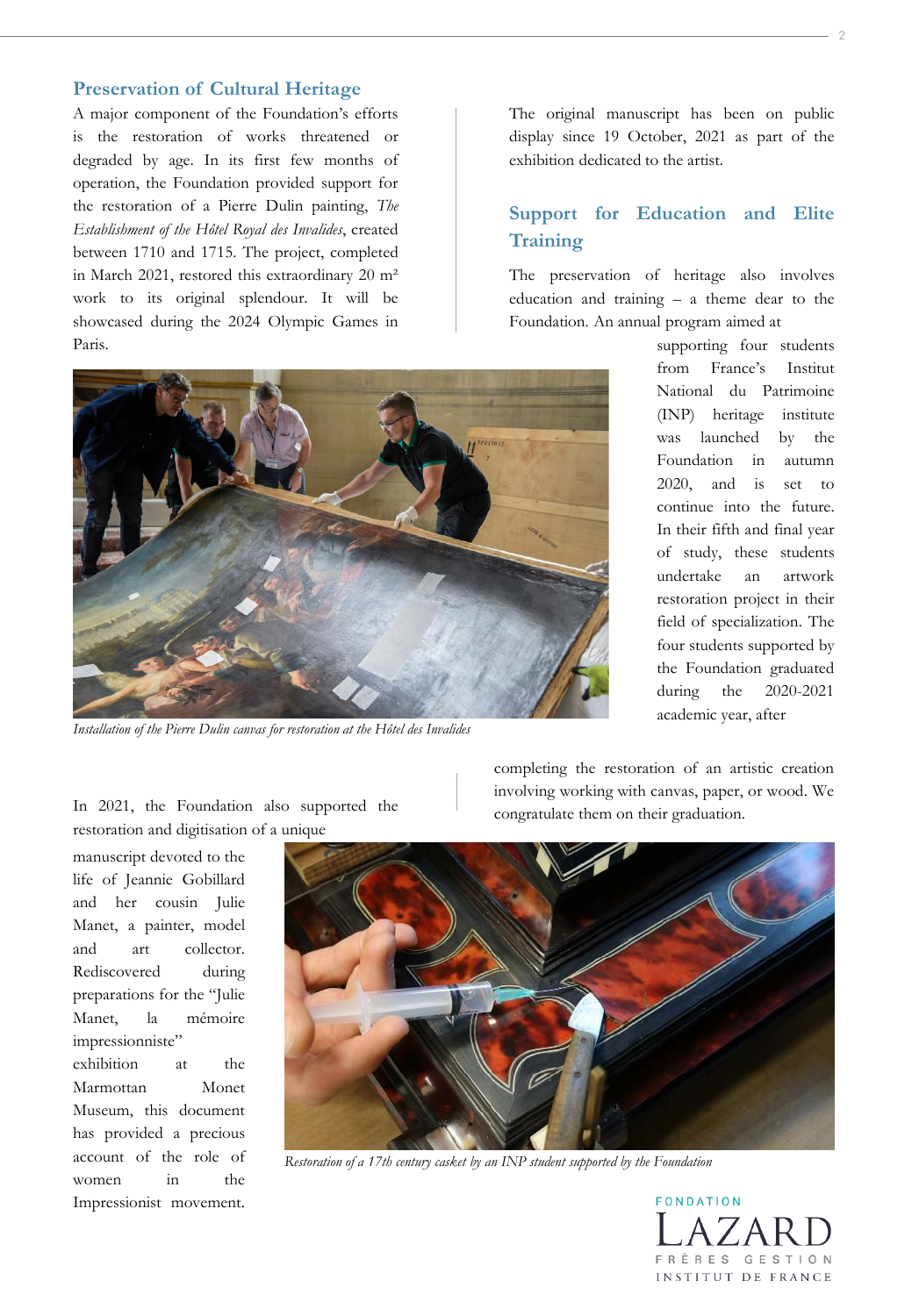## **Preservation of Cultural Heritage**

A major component of the Foundation's efforts is the restoration of works threatened or degraded by age. In its first few months of operation, the Foundation provided support for the restoration of a Pierre Dulin painting, *The Establishment of the Hôtel Royal des Invalides*, created between 1710 and 1715. The project, completed in March 2021, restored this extraordinary 20 m² work to its original splendour. It will be showcased during the 2024 Olympic Games in Paris.

The original manuscript has been on public display since 19 October, 2021 as part of the exhibition dedicated to the artist.

## **Support for Education and Elite Training**

The preservation of heritage also involves education and training – a theme dear to the Foundation. An annual program aimed at



*Installation of the Pierre Dulin canvas for restoration at the Hôtel des Invalides*

In 2021, the Foundation also supported the

supporting four students from France's Institut National du Patrimoine (INP) heritage institute was launched by the Foundation in autumn 2020, and is set to continue into the future. In their fifth and final year of study, these students undertake an artwork restoration project in their field of specialization. The four students supported by the Foundation graduated during the 2020-2021 academic year, after

completing the restoration of an artistic creation involving working with canvas, paper, or wood. We congratulate them on their graduation.

manuscript devoted to the life of Jeannie Gobillard and her cousin Julie Manet, a painter, model and art collector. Rediscovered during preparations for the "Julie Manet, la mémoire impressionniste" exhibition at the Marmottan Monet Museum, this document has provided a precious account of the role of women in the Impressionist movement.



*Restoration of a 17th century casket by an INP student supported by the Foundation*

FONDATION FRÈRES GESTION INSTITUT DE FRANCE

2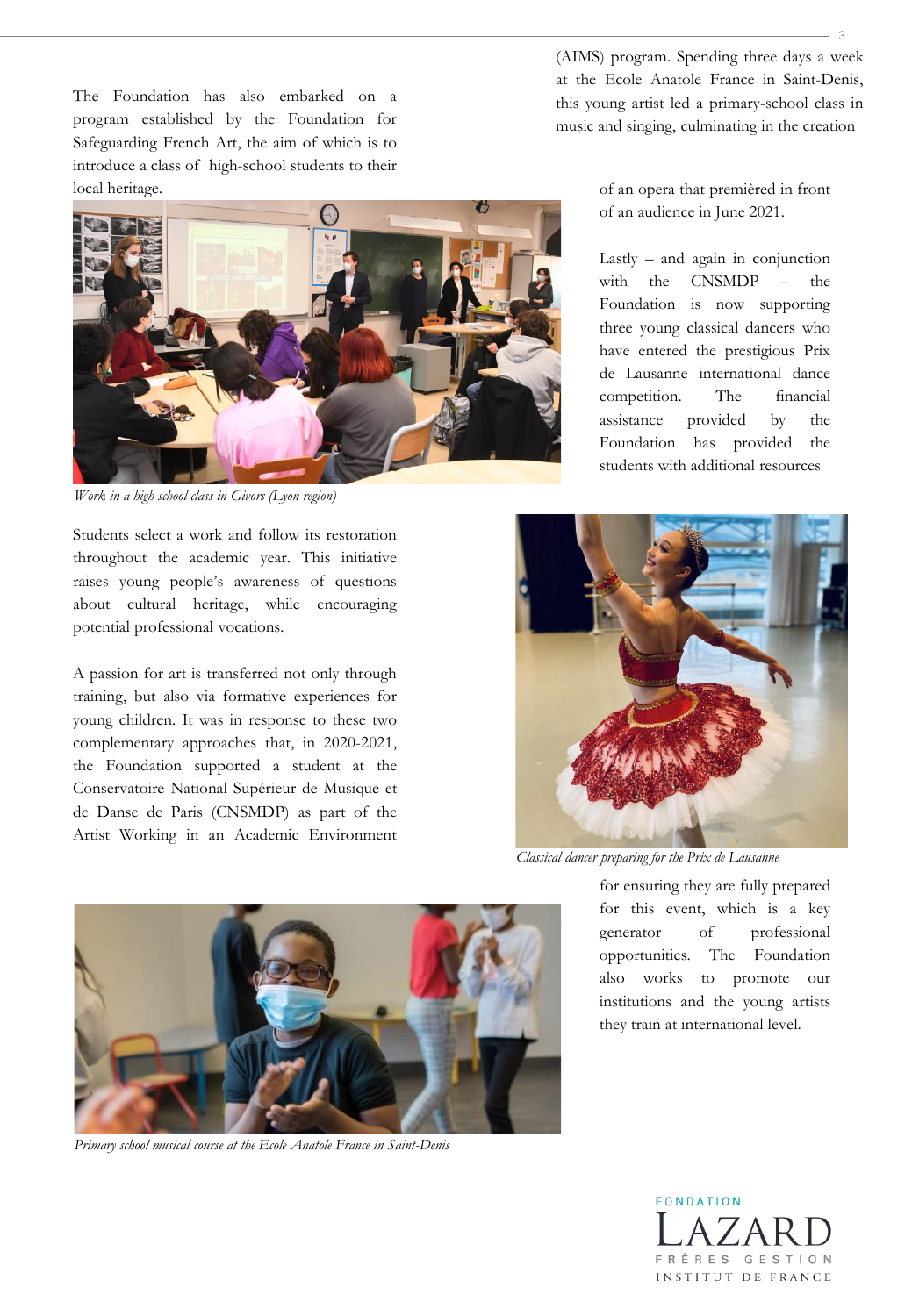The Foundation has also embarked on a program established by the Foundation for Safeguarding French Art, the aim of which is to introduce a class of high-school students to their local heritage.



*Work in a high school class in Givors (Lyon region)*

Students select a work and follow its restoration throughout the academic year. This initiative raises young people's awareness of questions about cultural heritage, while encouraging potential professional vocations.

A passion for art is transferred not only through training, but also via formative experiences for young children. It was in response to these two complementary approaches that, in 2020-2021, the Foundation supported a student at the Conservatoire National Supérieur de Musique et de Danse de Paris (CNSMDP) as part of the Artist Working in an Academic Environment

(AIMS) program. Spending three days a week at the Ecole Anatole France in Saint-Denis, this young artist led a primary-school class in music and singing, culminating in the creation

> of an opera that premièred in front of an audience in June 2021.

Lastly – and again in conjunction with the CNSMDP – the Foundation is now supporting three young classical dancers who have entered the prestigious Prix de Lausanne international dance competition. The financial assistance provided by the Foundation has provided the students with additional resources



*Classical dancer preparing for the Prix de Lausanne*

for ensuring they are fully prepared for this event, which is a key generator of professional opportunities. The Foundation also works to promote our institutions and the young artists they train at international level.



*Primary school musical course at the Ecole Anatole France in Saint-Denis*